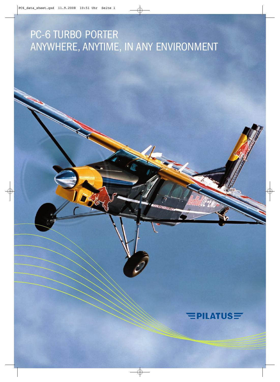# PC-6 TURBO PORTER ANYWHERE, ANYTIME, IN ANY ENVIRONMENT